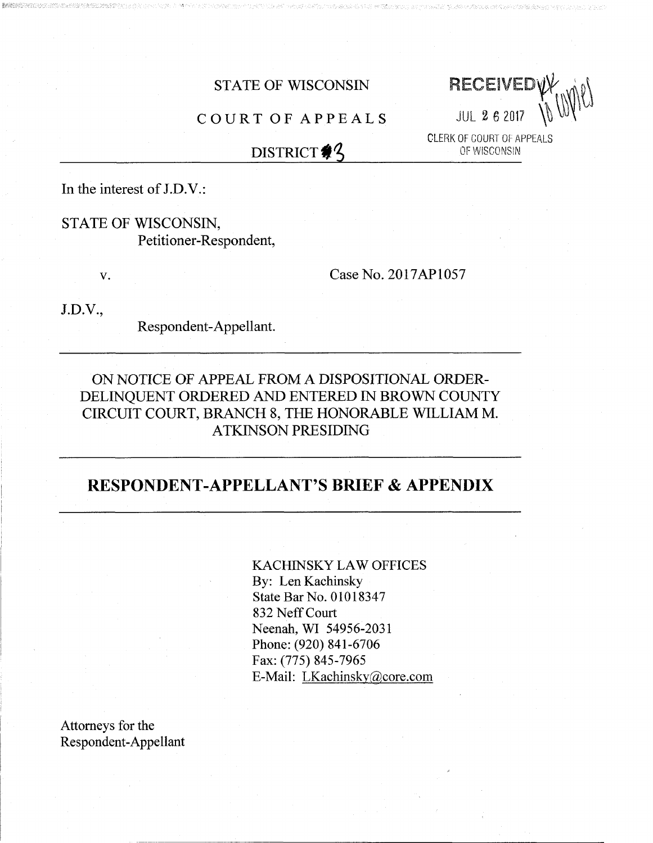STATE OF WISCONSIN RECEIVED

CLERK OF COURT OF APPEALS<br>OF WISCONSIN

# COURT OF APPEALS JUL <sup>2</sup> <sup>6</sup> <sup>2017</sup>

## DISTRICT  $\frac{4}{3}$

In the interest of  $J.D.V.$ :

STATE OF WISCONSIN, Petitioner-Respondent,

 $^{\prime\prime}$ 

v. Case No. 2017AP1057

J.D.V.,

Respondent-Appellant.

### ON NOTICE OF APPEAL FROM A DISPOSITIONAL ORDER-DELINQUENT ORDERED AND ENTERED IN BROWN COUNTY CIRCUIT COURT, BRANCH 8, THE HONORABLE WILLIAM M. ATKINSON PRESIDING

## RESPONDENT-APPELLANT'S BRIEF & APPENDIX

KACHINSKY LAW OFFICES By: Len Kachinsky State Bar No. 01018347 832 Neff Court Neenah, WI 54956-2031 Phone: (920) 841-6706 Fax: (775) 845-7965 E-Mail: [LKachinsky@core.com](mailto:LKachinsky@core.com)

Attorneys for the Respondent-Appellant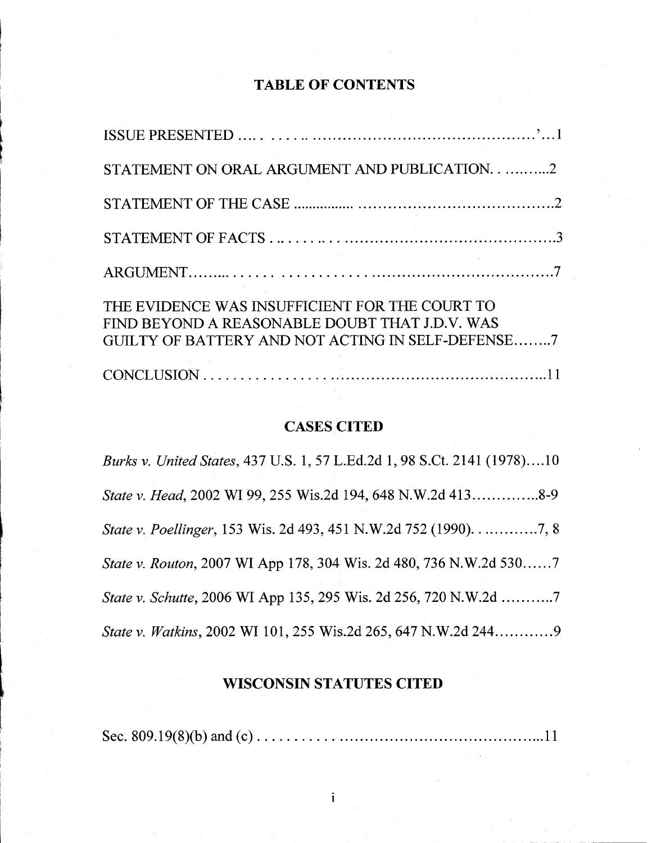## **TABLE OF CONTENTS**

*i*

*l*

**'**

**f**

| STATEMENT ON ORAL ARGUMENT AND PUBLICATION2                                                                                                           |  |
|-------------------------------------------------------------------------------------------------------------------------------------------------------|--|
|                                                                                                                                                       |  |
|                                                                                                                                                       |  |
|                                                                                                                                                       |  |
| THE EVIDENCE WAS INSUFFICIENT FOR THE COURT TO<br>FIND BEYOND A REASONABLE DOUBT THAT J.D.V. WAS<br>GUILTY OF BATTERY AND NOT ACTING IN SELF-DEFENSE7 |  |
|                                                                                                                                                       |  |

#### **CASES CITED**

*Burks v. United States,* 437 U.S. 1, 57 L.Ed.2d 1, 98 S.Ct. 2141 (1978)....10 *State v. Head,* 2002 WI 99, 255 Wis.2d 194, 648 N.W.2d 413................8-9 *State v. Poellinger*, 153 Wis. 2d 493, 451 N.W.2d 752 (1990). . . . . . . . . . . . . . . . . 7, 8 *State v. Routon,* 2007 WI App 178, 304 Wis. 2d 480, 736 N.W.2d 530......7 *State v. Schutte,* 2006 WI App 135, 295 Wis. 2d 256, 720 N.W.2d ............7 *State v. Watkins,* 2002 WI 101, 255 Wis.2d 265, 647 N.W.2d 244.............9

### **WISCONSIN STATUTES CITED**

Sec. 809.19(8)(b) and (c) 11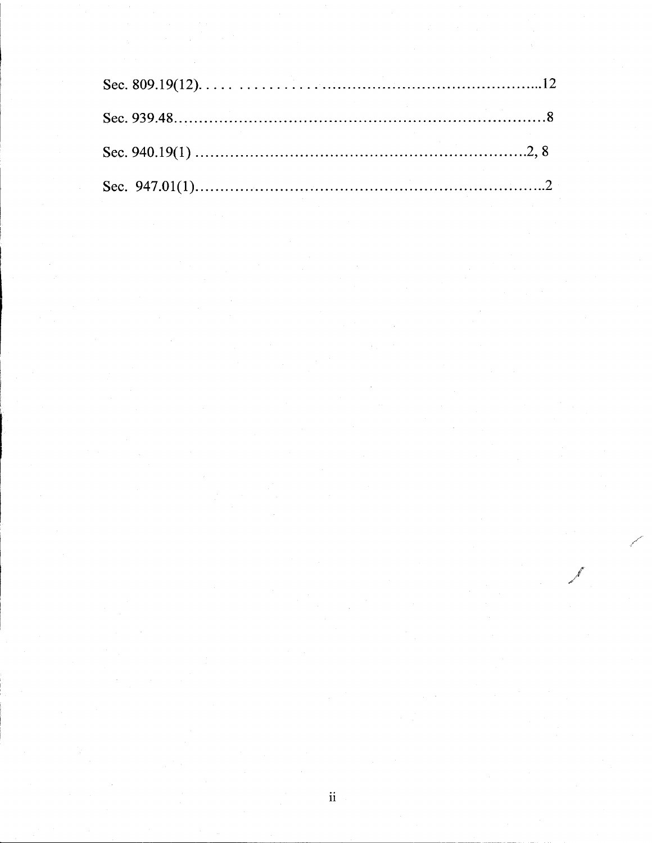*r y*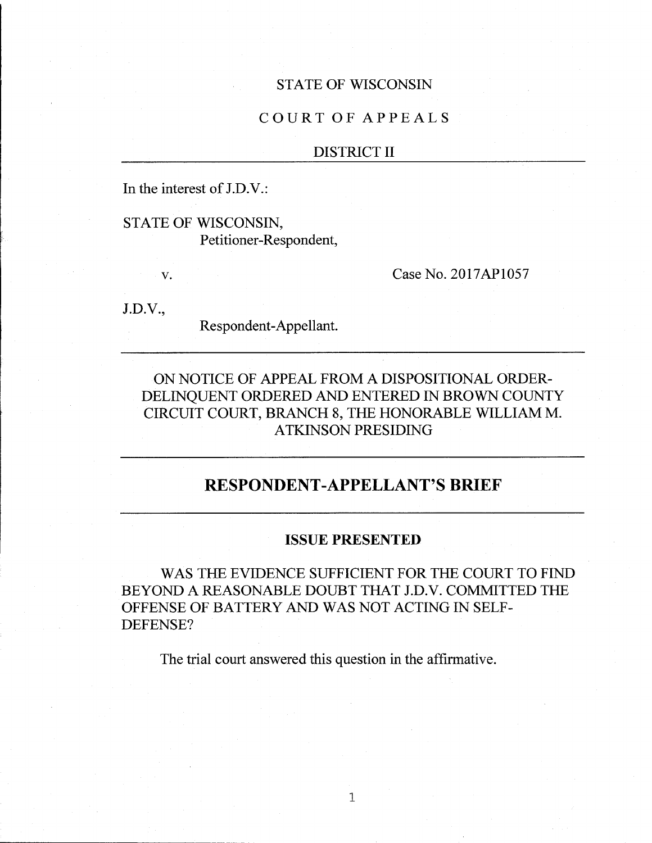#### STATE OF WISCONSIN

#### COURT OF APPEALS

#### DISTRICT II

In the interest of J.D.V.:

STATE OF WISCONSIN, Petitioner-Respondent,

v. Case No. 2017AP1057

J.D.V.,

Respondent-Appellant.

### ON NOTICE OF APPEAL FROM A DISPOSITIONAL ORDER-DELINQUENT ORDERED AND ENTERED IN BROWN COUNTY CIRCUIT COURT, BRANCH 8, THE HONORABLE WILLIAM M. ATKINSON PRESIDING

## **RESPONDENT-APPELLANT'S BRIEF**

#### **ISSUE PRESENTED**

WAS THE EVIDENCE SUFFICIENT FOR THE COURT TO FIND BEYOND A REASONABLE DOUBT THAT J.D.V. COMMITTED THE OFFENSE OF BATTERY AND WAS NOT ACTING IN SELF-DEFENSE?

The trial court answered this question in the affirmative.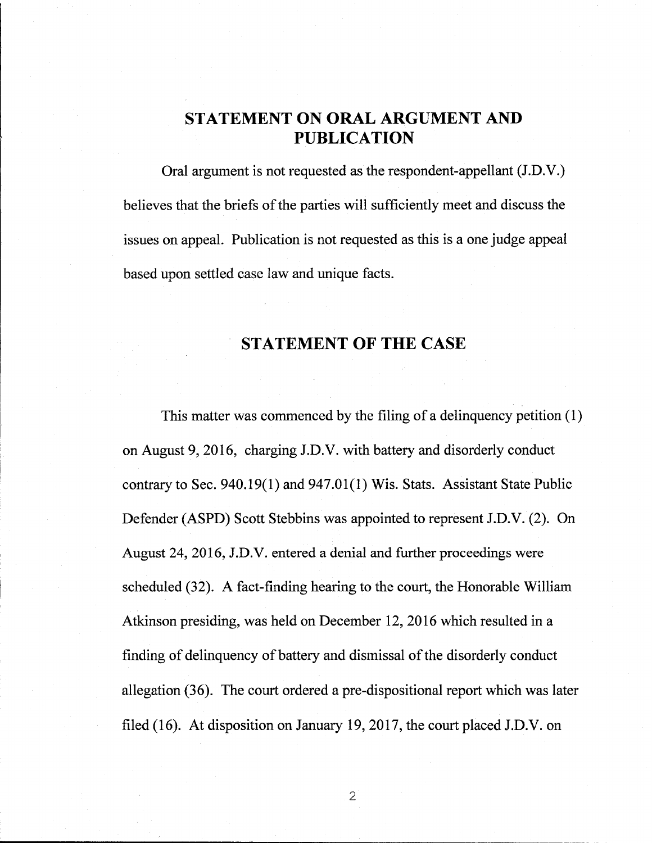## **STATEMENT ON ORAL ARGUMENT AND PUBLICATION**

Oral argument is not requested as the respondent-appellant (J.D.V.) believes that the briefs of the parties will sufficiently meet and discuss the issues on appeal. Publication is not requested as this is a one judge appeal based upon settled case law and unique facts.

## **STATEMENT OF THE CASE**

This matter was commenced by the filing of a delinquency petition (1) on August 9, 2016, charging J.D.V. with battery and disorderly conduct contrary to Sec. 940.19(1) and 947.01(1) Wis. Stats. Assistant State Public Defender (ASPD) Scott Stebbins was appointed to represent J.D.V. (2). On August 24, 2016, J.D.V. entered a denial and further proceedings were scheduled (32). A fact-finding hearing to the court, the Honorable William Atkinson presiding, was held on December 12, 2016 which resulted in a finding of delinquency of battery and dismissal of the disorderly conduct allegation (36). The court ordered a pre-dispositional report which was later filed (16). At disposition on January 19, 2017, the court placed J.D.V. on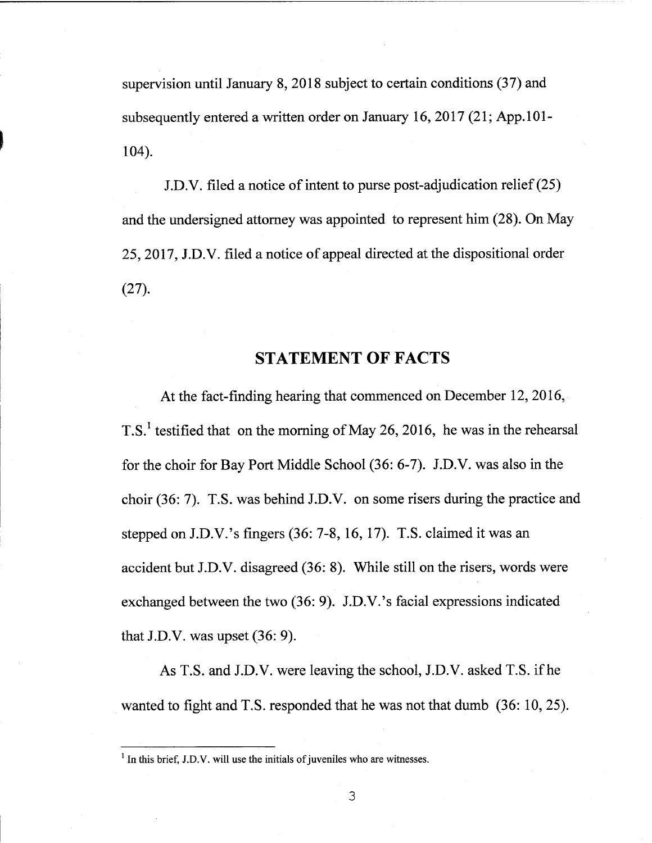supervision until January 8, 2018 subject to certain conditions (37) and subsequently entered a written order on January 16, 2017 (21; App.101- **<sup>I</sup>** 104).

J.D.V. filed a notice of intent to purse post-adjudication relief $(25)$ and the undersigned attorney was appointed to represent him (28). On May 25, 2017, J.D.V. filed a notice of appeal directed at the dispositional order (27).

#### STATEMENT OF FACTS

At the fact-finding hearing that commenced on December 12, 2016, T.S.<sup>1</sup> testified that on the morning of May 26, 2016, he was in the rehearsal for the choir for Bay Port Middle School (36: 6-7). J.D.V. was also in the choir (36: 7). T.S. was behind J.D.V. on some risers during the practice and stepped on J.D.V.'s fingers (36: 7-8, 16, 17). T.S. claimed it was an accident but J.D.V. disagreed (36: 8). While still on the risers, words were exchanged between the two (36: 9). J.D.V.'s facial expressions indicated that J.D.V. was upset (36: 9).

As T.S. and J.D.V. were leaving the school, J.D.V. asked T.S. ifhe wanted to fight and T.S. responded that he was not that dumb (36: 10, 25).

 $<sup>1</sup>$  In this brief, J.D.V, will use the initials of juveniles who are witnesses.</sup>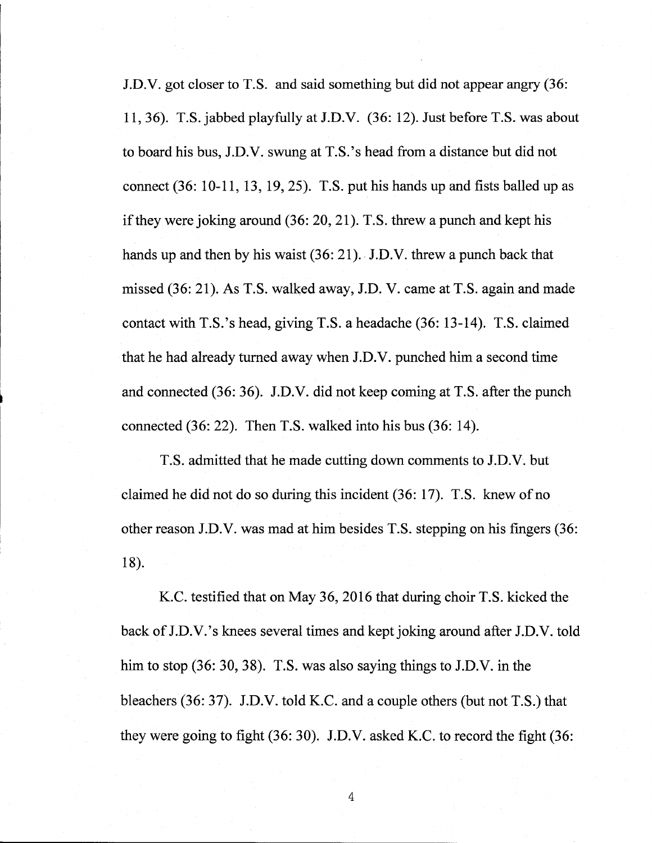J.D.V. got closer to T.S. and said something but did not appear angry (36: 11,36). T.S. jabbed playfully at J.D.V. (36: 12). Just before T.S. was about to board his bus, J.D.V. swung at T.S.'s head from <sup>a</sup> distance but did not connect (36: 10-11, 13, 19, 25). T.S. put his hands up and fists balled up as if they were joking around  $(36: 20, 21)$ . T.S. threw a punch and kept his hands up and then by his waist (36: 21). J.D.V. threw a punch back that missed (36: 21). As T.S. walked away, J.D. V. came at T.S. again and made contact with T.S.'s head, giving T.S. <sup>a</sup> headache (36: 13-14). T.S. claimed that he had already turned away when J.D.V. punched him a second time and connected (36: 36). J.D.V. did not keep coming at T.S. after the punch connected (36: 22). Then T.S. walked into his bus (36: 14).

T.S. admitted that he made cutting down comments to J.D.V. but claimed he did not do so during this incident  $(36: 17)$ . T.S. knew of no other reason J.D.V. was mad at him besides T.S. stepping on his fingers (36: 18).

K.C. testified that on May 36, 2016 that during choir T.S. kicked the back of J.D.V.'s knees several times and kept joking around after J.D.V. told him to stop (36: 30, 38). T.S. was also saying things to J.D.V. in the bleachers (36: 37). J.D.V. told K.C. and a couple others (but not T.S.) that they were going to fight (36: 30). J.D.V. asked K.C. to record the fight (36: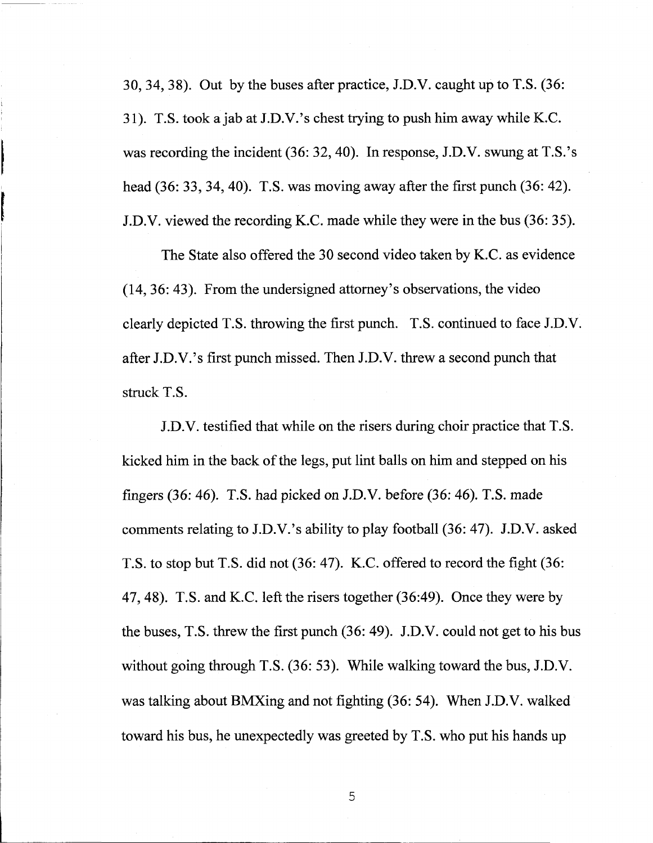30, 34, 38). Out by the buses after practice, J.D.V. caught up to T.S. (36: 31). T.S. took <sup>a</sup> jab at J.D.V.'s chest trying to push him away while K.C. was recording the incident (36: 32, 40). In response, J.D.V. swung at T.S.'s head (36: 33, 34, 40). T.S. was moving away after the first punch (36: 42). J.D.V. viewed the recording K.C. made while they were in the bus (36: 35).

The State also offered the 30 second video taken by K.C. as evidence (14, 36: 43). From the undersigned attorney's observations, the video clearly depicted T.S. throwing the first punch. T.S. continued to face J.D.V. after J.D.V.'s first punch missed. Then J.D.V. threw <sup>a</sup> second punch that struck T.S.

J.D.V. testified that while on the risers during choir practice that T.S. kicked him in the back of the legs, put lint balls on him and stepped on his fingers (36: 46). T.S. had picked on J.D.V. before (36: 46). T.S. made comments relating to J.D.V.'s ability to play football (36: 47). J.D.V. asked T.S. to stop but T.S. did not (36: 47). K.C. offered to record the fight (36: 47, 48). T.S. and K.C. left the risers together (36:49). Once they were by the buses, T.S. threw the first punch (36: 49). J.D.V. could not get to his bus without going through T.S. (36: 53). While walking toward the bus, J.D.V. was talking about BMXing and not fighting (36: 54). When J.D.V. walked toward his bus, he unexpectedly was greeted by T.S. who put his hands up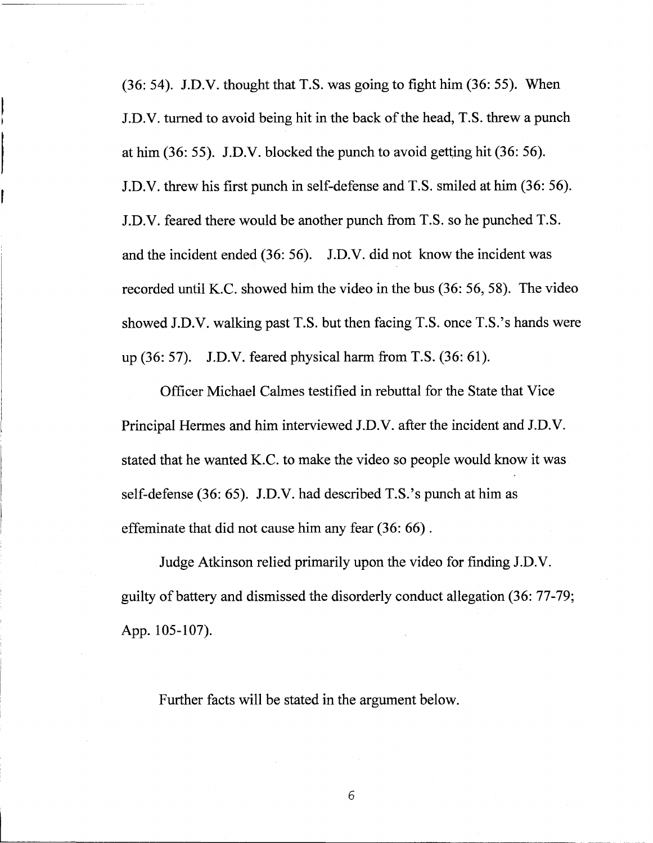(36: 54). J.D.V. thought that T.S. was going to fight him (36: 55). When J.D.V. turned to avoid being hit in the back of the head, T.S. threw a punch at him (36: 55). J.D.V. blocked the punch to avoid getting hit (36: 56). J.D.V. threw his first punch in self-defense and T.S. smiled at him (36: 56). J.D.V. feared there would be another punch from T.S. so he punched T.S. and the incident ended (36: 56). J.D.V. did not know the incident was recorded until K.C. showed him the video in the bus (36: 56, 58). The video showed J.D.V. walking past T.S. but then facing T.S. once T.S.'s hands were up (36: 57). J.D.V. feared physical harm from T.S. (36: 61).

**I**

Officer Michael Calmes testified in rebuttal for the State that Vice Principal Hermes and him interviewed J.D.V. after the incident and J.D.V. stated that he wanted K.C. to make the video so people would know it was self-defense (36: 65). J.D.V. had described T.S.'s punch at him as effeminate that did not cause him any fear (36: 66).

Judge Atkinson relied primarily upon the video for finding J.D.V. guilty of battery and dismissed the disorderly conduct allegation (36: 77-79; App. 105-107).

Further facts will be stated in the argument below.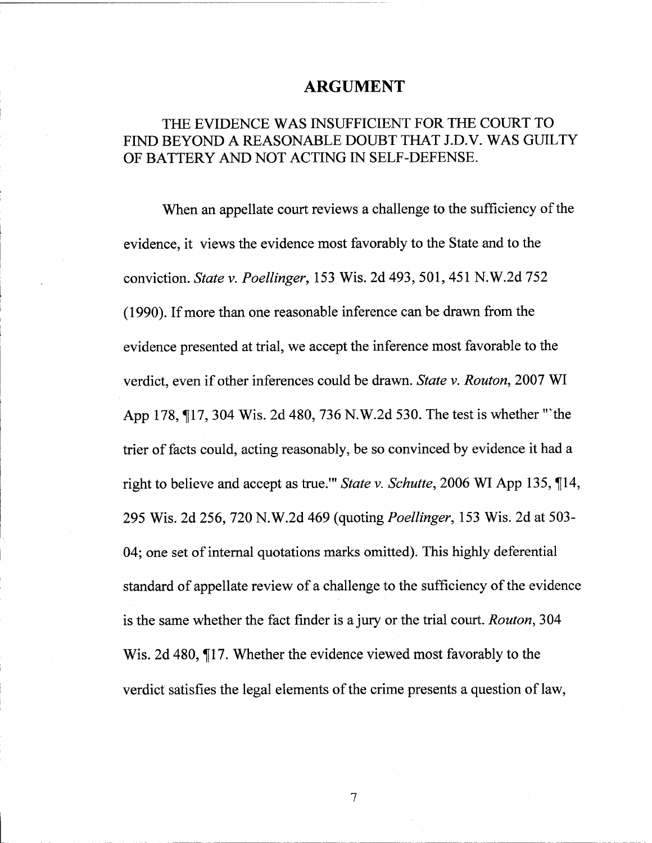### **ARGUMENT**

### THE EVIDENCE WAS INSUFFICIENT FOR THE COURT TO FIND BEYOND A REASONABLE DOUBT THAT J.D.V. WAS GUILTY OF BATTERY AND NOT ACTING IN SELF-DEFENSE.

When an appellate court reviews a challenge to the sufficiency of the evidence, it views the evidence most favorably to the State and to the conviction. *State* v. *Poellinger,* 153 Wis. 2d 493, 501, 451 N.W.2d 752 (1990). Ifmore than one reasonable inference can be drawn from the evidence presented at trial, we accept the inference most favorable to the verdict, even if other inferences could be drawn. *State v. Routon*, 2007 WI App 178, 17, 304 Wis. 2d 480, 736 N.W.2d 530. The test is whether "'the trier of facts could, acting reasonably, be so convinced by evidence it had a right to believe and accept as true.'" *State v. Schutte,* 2006 WI App 135, ^[14, 295 Wis. 2d 256, 720 N.W.2d 469 (quoting *Poellinger,* 153 Wis. 2d at 503- 04; one set of internal quotations marks omitted). This highly deferential standard of appellate review of a challenge to the sufficiency of the evidence is the same whether the fact finder is a jury or the trial court. *Routon,* 304 Wis. 2d 480, 117. Whether the evidence viewed most favorably to the verdict satisfies the legal elements of the crime presents a question of law,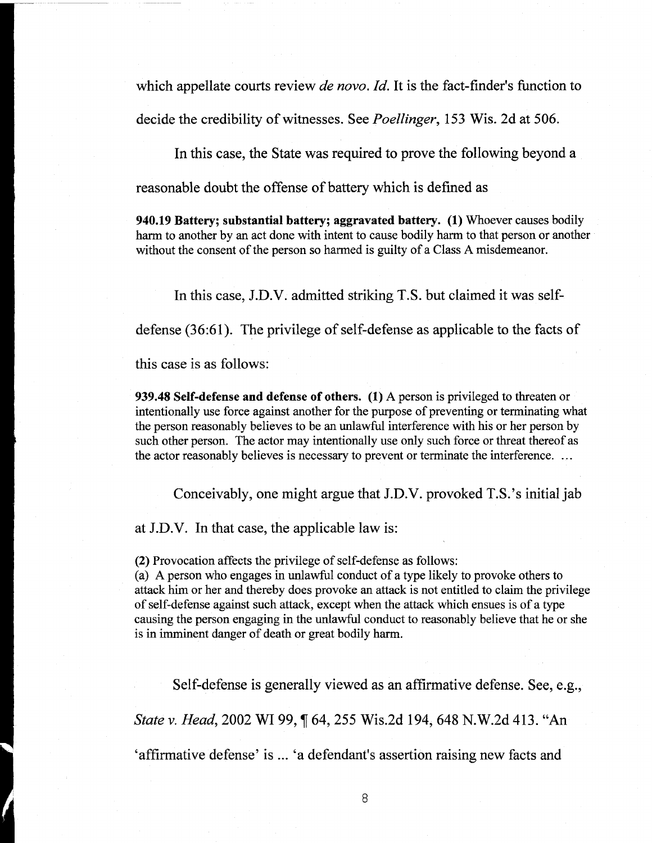which appellate courts review *de novo. Id.* It is the fact-finder's function to

decide the credibility of witnesses. See *Poellinger*, 153 Wis. 2d at 506.

In this case, the State was required to prove the following beyond a

reasonable doubt the offense of battery which is defined as

940.19 Battery; substantial battery; aggravated battery. (1) Whoever causes bodily harm to another by an act done with intent to cause bodily harm to that person or another without the consent of the person so harmed is guilty of a Class A misdemeanor.

In this case, J.D.V. admitted striking T.S. but claimed it was self-

defense (36:61). The privilege of self-defense as applicable to the facts of

this case is as follows:

939.48 Self-defense and defense of others. (1) A person is privileged to threaten or intentionally use force against another for the purpose of preventing or terminating what the person reasonably believes to be an unlawful interference with his or her person by such other person. The actor may intentionally use only such force or threat thereof as the actor reasonably believes is necessary to prevent or terminate the interference. ...

Conceivably, one might argue that J.D.V. provoked T.S.'s initial jab

at J.D.V. In that case, the applicable law is:

(2) Provocation affects the privilege of self-defense as follows:

(a) A person who engages in unlawful conduct of a type likely to provoke others to attack him or her and thereby does provoke an attack is not entitled to claim the privilege of self-defense against such attack, except when the attack which ensues is ofa type causing the person engaging in the unlawful conduct to reasonably believe that he or she is in imminent danger of death or great bodily harm.

Self-defense is generally viewed as an affirmative defense. See, e.g., *State v. Head,* 2002 WI 99, If 64, 255 Wis.2d 194, 648 N.W.2d 413. "An 'affirmative defense' is ... 'a defendant's assertion raising new facts and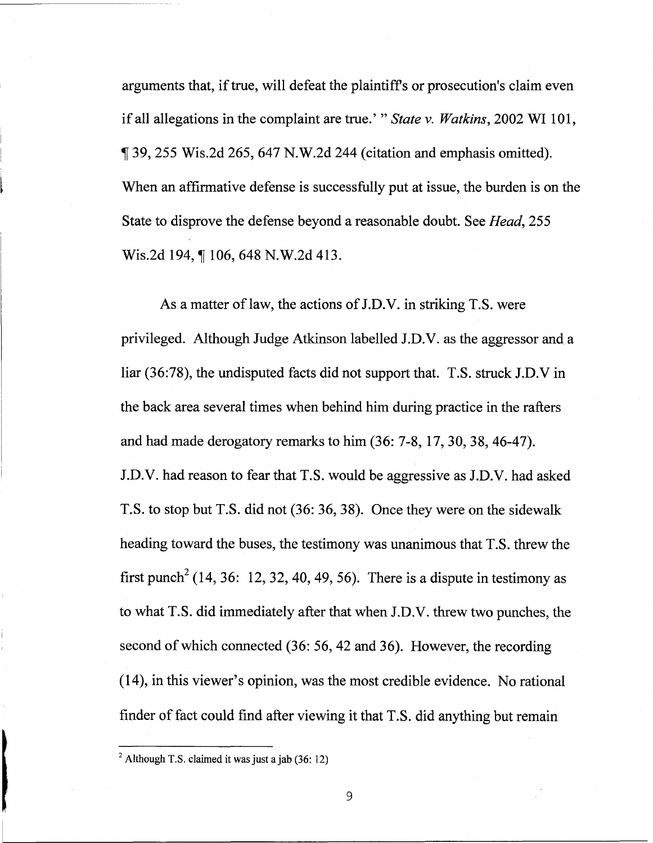arguments that, if true, will defeat the plaintiffs or prosecution's claim even ifall allegations in the complaint are true.' " *State* v. *Watkins,* <sup>2002</sup> WI 101, f 39, <sup>255</sup> Wis.2d 265, <sup>647</sup> N.W.2d <sup>244</sup> (citation and emphasis omitted). When an affirmative defense is successfully put at issue, the burden is on the State to disprove the defense beyond a reasonable doubt. See *Head,* 255 Wis.2d 194, ¶ 106, 648 N.W.2d 413.

As a matter of law, the actions of J.D.V. in striking T.S. were privileged. Although Judge Atkinson labelled J.D.V. as the aggressor and a liar (36:78), the undisputed facts did not support that. T.S. struck J.D.V in the back area several times when behind him during practice in the rafters and had made derogatory remarks to him (36: 7-8, 17, 30, 38, 46-47). J.D.V. had reason to fear that T.S. would be aggressive as J.D.V. had asked T.S. to stop but T.S. did not (36: 36, 38). Once they were on the sidewalk heading toward the buses, the testimony was unanimous that T.S. threw the first punch<sup>2</sup> (14, 36: 12, 32, 40, 49, 56). There is a dispute in testimony as to what T.S. did immediately after that when J.D.V. threw two punches, the second of which connected (36: 56, 42 and 36). However, the recording (14), in this viewer's opinion, was the most credible evidence. No rational finder of fact could find after viewing it that T.S. did anything but remain

<sup>&</sup>lt;sup>2</sup> Although T.S. claimed it was just a jab (36: 12)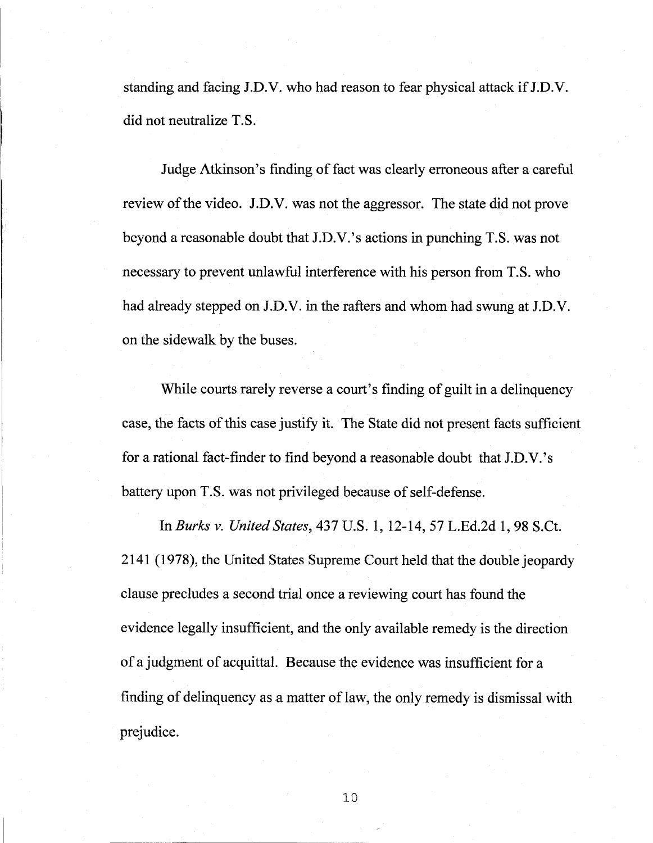standing and facing J.D.V. who had reason to fear physical attack if J.D.V. did not neutralize T.S.

Judge Atkinson's finding of fact was clearly erroneous after a careful review of the video. J.D.V. was not the aggressor. The state did not prove beyond <sup>a</sup> reasonable doubt that J.D.V.'s actions in punching T.S. was not necessary to prevent unlawful interference with his person from T.S. who had already stepped on J.D.V. in the rafters and whom had swung at J.D.V. on the sidewalk by the buses.

While courts rarely reverse a court's finding of guilt in a delinquency case, the facts of this case justify it. The State did not present facts sufficient for <sup>a</sup> rational fact-finder to find beyond <sup>a</sup> reasonable doubt that J.D.V.'s battery upon T.S. was not privileged because of self-defense.

In *Burks* v. *United States,* 437 U.S. 1, 12-14, 57 L.Ed.2d 1, 98 S.Ct. 2141 (1978), the United States Supreme Court held that the double jeopardy clause precludes a second trial once a reviewing court has found the evidence legally insufficient, and the only available remedy is the direction ofa judgment of acquittal. Because the evidence was insufficient for <sup>a</sup> finding of delinquency as a matter of law, the only remedy is dismissal with prejudice.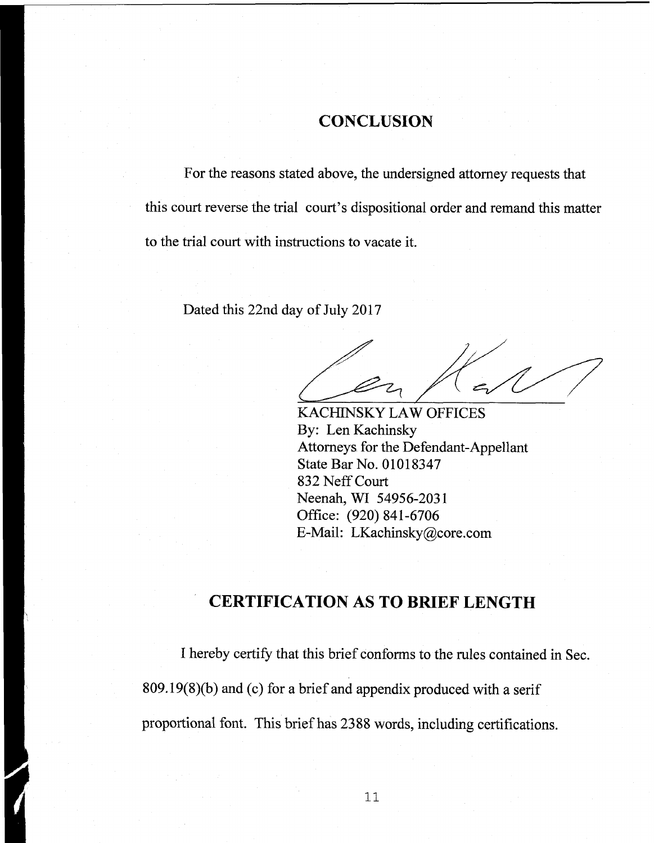### **CONCLUSION**

For the reasons stated above, the undersigned attorney requests that this court reverse the trial court's dispositional order and remand this matter to the trial court with instructions to vacate it.

Dated this 22nd day of July 2017

KACHINSKY LAW OFFICES By: Len Kachinsky Attorneys for the Defendant-Appellant State Bar No. 01018347 832 NeffCourt Neenah, WI 54956-2031 Office: (920) 841-6706 E-Mail: [LKachinsky@core.com](mailto:LKachinsky@core.com)

## **CERTIFICATION AS TO BRIEF LENGTH**

I hereby certify that this brief conforms to the rules contained in Sec.  $809.19(8)(b)$  and (c) for a brief and appendix produced with a serif proportional font. This briefhas 2388 words, including certifications.